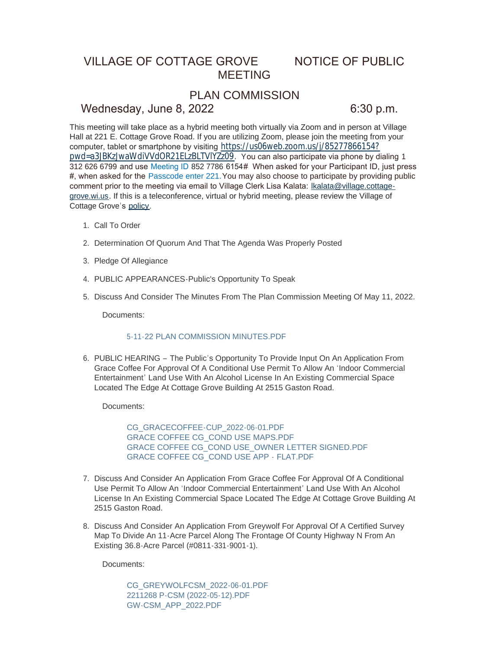# VILLAGE OF COTTAGE GROVE NOTICE OF PUBLIC MEETING

## PLAN COMMISSION

### Wednesday, June 8, 2022 6:30 p.m.

This meeting will take place as a hybrid meeting both virtually via Zoom and in person at Village Hall at 221 E. Cottage Grove Road. If you are utilizing Zoom, please join the meeting from your computer, tablet or smartphone by visiting [https://us06web.zoom.us/j/85277866154?](https://us06web.zoom.us/j/85277866154?pwd=a3JBKzJwaWdiVVdOR21ELzBLTVlYZz09) pwd=a3JBKzJwaWdiVVdOR21ELzBLTVlYZz09. You can also participate via phone by dialing 1 312 626 6799 and use Meeting ID 852 7786 6154# When asked for your Participant ID, just press #, when asked for the Passcode enter 221.You may also choose to participate by providing public comment prior to the meeting via email to Village Clerk Lisa Kalata: Ikalata@village.cottagegrove.wi.us. If this is a teleconference, virtual or hybrid meeting, plea[se review the Village of](mailto:lkalata@village.cottage-grove.wi.us)  Cottage Grove's [policy](https://www.vi.cottagegrove.wi.gov/DocumentCenter/View/1850/Virtual-Hybrid-Tele-meeting-Policy-Final).

- 1. Call To Order
- 2. Determination Of Quorum And That The Agenda Was Properly Posted
- 3. Pledge Of Allegiance
- PUBLIC APPEARANCES-Public's Opportunity To Speak 4.
- 5. Discuss And Consider The Minutes From The Plan Commission Meeting Of May 11, 2022.

Documents:

### [5-11-22 PLAN COMMISSION MINUTES.PDF](https://www.vi.cottagegrove.wi.gov/AgendaCenter/ViewFile/Item/10205?fileID=19882)

6. PUBLIC HEARING - The Public's Opportunity To Provide Input On An Application From Grace Coffee For Approval Of A Conditional Use Permit To Allow An 'Indoor Commercial Entertainment' Land Use With An Alcohol License In An Existing Commercial Space Located The Edge At Cottage Grove Building At 2515 Gaston Road.

Documents:

[CG\\_GRACECOFFEE-CUP\\_2022-06-01.PDF](https://www.vi.cottagegrove.wi.gov/AgendaCenter/ViewFile/Item/10206?fileID=19883) [GRACE COFFEE CG\\_COND USE MAPS.PDF](https://www.vi.cottagegrove.wi.gov/AgendaCenter/ViewFile/Item/10206?fileID=19884) [GRACE COFFEE CG\\_COND USE\\_OWNER LETTER SIGNED.PDF](https://www.vi.cottagegrove.wi.gov/AgendaCenter/ViewFile/Item/10206?fileID=19885) [GRACE COFFEE CG\\_COND USE APP -](https://www.vi.cottagegrove.wi.gov/AgendaCenter/ViewFile/Item/10206?fileID=19886) FLAT.PDF

- 7. Discuss And Consider An Application From Grace Coffee For Approval Of A Conditional Use Permit To Allow An 'Indoor Commercial Entertainment' Land Use With An Alcohol License In An Existing Commercial Space Located The Edge At Cottage Grove Building At 2515 Gaston Road.
- 8. Discuss And Consider An Application From Greywolf For Approval Of A Certified Survey Map To Divide An 11-Acre Parcel Along The Frontage Of County Highway N From An Existing 36.8-Acre Parcel (#0811-331-9001-1).

Documents:

[CG\\_GREYWOLFCSM\\_2022-06-01.PDF](https://www.vi.cottagegrove.wi.gov/AgendaCenter/ViewFile/Item/10208?fileID=19887) [2211268 P-CSM \(2022-05-12\).PDF](https://www.vi.cottagegrove.wi.gov/AgendaCenter/ViewFile/Item/10208?fileID=19888) [GW-CSM\\_APP\\_2022.PDF](https://www.vi.cottagegrove.wi.gov/AgendaCenter/ViewFile/Item/10208?fileID=19889)